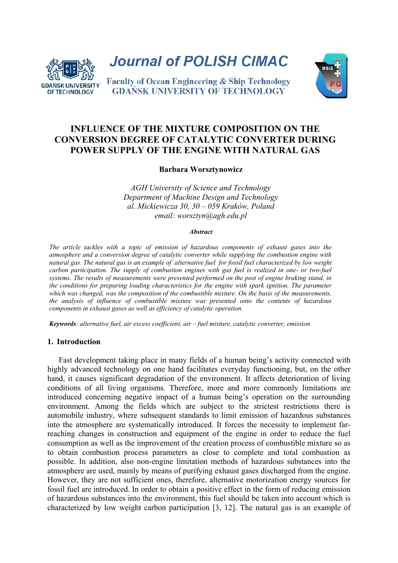

**Journal of POLISH CIMAC** 

**Faculty of Ocean Engineering & Ship Technology GDANSK UNIVERSITY OF TECHNOLOGY** 



# **INFLUENCE OF THE MIXTURE COMPOSITION ON THE CONVERSION DEGREE OF CATALYTIC CONVERTER DURING POWER SUPPLY OF THE ENGINE WITH NATURAL GAS**

## **Barbara Worsztynowicz**

*AGH University of Science and Technology Department of Machine Design and Technology al. Mickiewicza 30, 30 – 059 Kraków, Poland email: worsztyn@agh.edu.pl* 

#### *Abstract*

*The article tackles with a topic of emission of hazardous components of exhaust gases into the atmosphere and a conversion degree of catalytic converter while supplying the combustion engine with natural gas. The natural gas is an example of alternative fuel for fossil fuel characterized by low weight carbon participation. The supply of combustion engines with gas fuel is realized in one- or two-fuel systems. The results of measurements were presented performed on the post of engine braking stand, in the conditions for preparing loading characteristics for the engine with spark ignition. The parameter which was changed, was the composition of the combustible mixture. On the basis of the measurements, the analysis of influence of combustible mixture was presented onto the contents of hazardous components in exhaust gases as well as efficiency of catalytic operation.* 

*Keywords: alternative fuel, air excess coefficient, air – fuel mixture, catalytic converter, emission* 

## **1. Introduction**

Fast development taking place in many fields of a human being's activity connected with highly advanced technology on one hand facilitates everyday functioning, but, on the other hand, it causes significant degradation of the environment. It affects deterioration of living conditions of all living organisms. Therefore, more and more commonly limitations are introduced concerning negative impact of a human being's operation on the surrounding environment. Among the fields which are subject to the strictest restrictions there is automobile industry, where subsequent standards to limit emission of hazardous substances into the atmosphere are systematically introduced. It forces the necessity to implement farreaching changes in construction and equipment of the engine in order to reduce the fuel consumption as well as the improvement of the creation process of combustible mixture so as to obtain combustion process parameters as close to complete and total combustion as possible. In addition, also non-engine limitation methods of hazardous substances into the atmosphere are used, mainly by means of purifying exhaust gases discharged from the engine. However, they are not sufficient ones, therefore, alternative motorization energy sources for fossil fuel are introduced. In order to obtain a positive effect in the form of reducing emission of hazardous substances into the environment, this fuel should be taken into account which is characterized by low weight carbon participation [3, 12]. The natural gas is an example of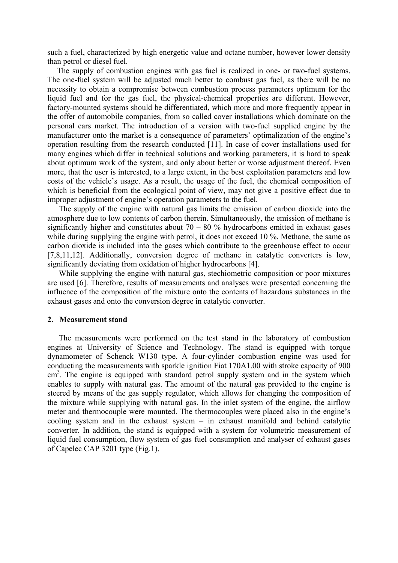such a fuel, characterized by high energetic value and octane number, however lower density than petrol or diesel fuel.

The supply of combustion engines with gas fuel is realized in one- or two-fuel systems. The one-fuel system will be adjusted much better to combust gas fuel, as there will be no necessity to obtain a compromise between combustion process parameters optimum for the liquid fuel and for the gas fuel, the physical-chemical properties are different. However, factory-mounted systems should be differentiated, which more and more frequently appear in the offer of automobile companies, from so called cover installations which dominate on the personal cars market. The introduction of a version with two-fuel supplied engine by the manufacturer onto the market is a consequence of parameters' optimalization of the engine's operation resulting from the research conducted [11]. In case of cover installations used for many engines which differ in technical solutions and working parameters, it is hard to speak about optimum work of the system, and only about better or worse adjustment thereof. Even more, that the user is interested, to a large extent, in the best exploitation parameters and low costs of the vehicle's usage. As a result, the usage of the fuel, the chemical composition of which is beneficial from the ecological point of view, may not give a positive effect due to improper adjustment of engine's operation parameters to the fuel.

The supply of the engine with natural gas limits the emission of carbon dioxide into the atmosphere due to low contents of carbon therein. Simultaneously, the emission of methane is significantly higher and constitutes about  $70 - 80$  % hydrocarbons emitted in exhaust gases while during supplying the engine with petrol, it does not exceed 10 %. Methane, the same as carbon dioxide is included into the gases which contribute to the greenhouse effect to occur [7,8,11,12]. Additionally, conversion degree of methane in catalytic converters is low, significantly deviating from oxidation of higher hydrocarbons [4].

While supplying the engine with natural gas, stechiometric composition or poor mixtures are used [6]. Therefore, results of measurements and analyses were presented concerning the influence of the composition of the mixture onto the contents of hazardous substances in the exhaust gases and onto the conversion degree in catalytic converter.

### **2. Measurement stand**

The measurements were performed on the test stand in the laboratory of combustion engines at University of Science and Technology. The stand is equipped with torque dynamometer of Schenck W130 type. A four-cylinder combustion engine was used for conducting the measurements with sparkle ignition Fiat 170A1.00 with stroke capacity of 900 cm<sup>3</sup>. The engine is equipped with standard petrol supply system and in the system which enables to supply with natural gas. The amount of the natural gas provided to the engine is steered by means of the gas supply regulator, which allows for changing the composition of the mixture while supplying with natural gas. In the inlet system of the engine, the airflow meter and thermocouple were mounted. The thermocouples were placed also in the engine's cooling system and in the exhaust system – in exhaust manifold and behind catalytic converter. In addition, the stand is equipped with a system for volumetric measurement of liquid fuel consumption, flow system of gas fuel consumption and analyser of exhaust gases of Capelec CAP 3201 type (Fig.1).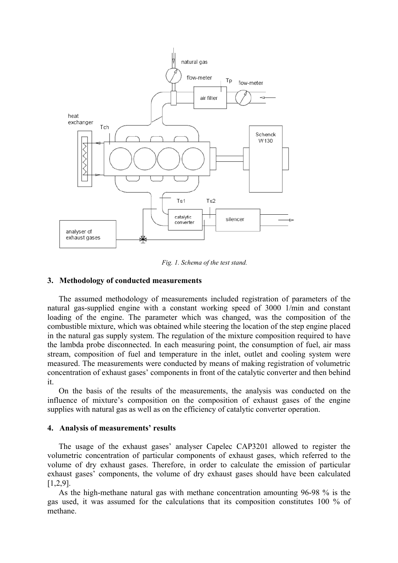

*Fig. 1. Schema of the test stand.* 

## **3. Methodology of conducted measurements**

The assumed methodology of measurements included registration of parameters of the natural gas-supplied engine with a constant working speed of 3000 1/min and constant loading of the engine. The parameter which was changed, was the composition of the combustible mixture, which was obtained while steering the location of the step engine placed in the natural gas supply system. The regulation of the mixture composition required to have the lambda probe disconnected. In each measuring point, the consumption of fuel, air mass stream, composition of fuel and temperature in the inlet, outlet and cooling system were measured. The measurements were conducted by means of making registration of volumetric concentration of exhaust gases' components in front of the catalytic converter and then behind it.

On the basis of the results of the measurements, the analysis was conducted on the influence of mixture's composition on the composition of exhaust gases of the engine supplies with natural gas as well as on the efficiency of catalytic converter operation.

## **4. Analysis of measurements' results**

The usage of the exhaust gases' analyser Capelec CAP3201 allowed to register the volumetric concentration of particular components of exhaust gases, which referred to the volume of dry exhaust gases. Therefore, in order to calculate the emission of particular exhaust gases' components, the volume of dry exhaust gases should have been calculated [1,2,9].

As the high-methane natural gas with methane concentration amounting 96-98 % is the gas used, it was assumed for the calculations that its composition constitutes 100 % of methane.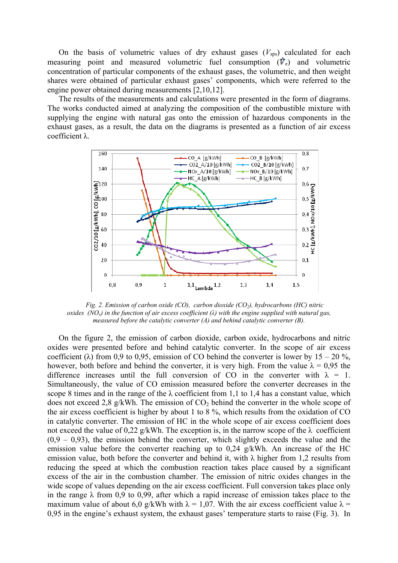On the basis of volumetric values of dry exhaust gases  $(V_{\text{sps}})$  calculated for each measuring point and measured volumetric fuel consumption  $(\vec{v}_e)$  and volumetric concentration of particular components of the exhaust gases, the volumetric, and then weight shares were obtained of particular exhaust gases' components, which were referred to the engine power obtained during measurements [2,10,12].

The results of the measurements and calculations were presented in the form of diagrams. The works conducted aimed at analyzing the composition of the combustible mixture with supplying the engine with natural gas onto the emission of hazardous components in the exhaust gases, as a result, the data on the diagrams is presented as a function of air excess coefficient λ.



*Fig. 2. Emission of carbon oxide (CO), carbon dioxide (CO<sub>2</sub>), hydrocarbons (HC) nitric oxides (NOx) in the function of air excess coefficient (λ) with the engine supplied with natural gas, measured before the catalytic converter (A) and behind catalytic converter (B).* 

On the figure 2, the emission of carbon dioxide, carbon oxide, hydrocarbons and nitric oxides were presented before and behind catalytic converter. In the scope of air excess coefficient ( $\lambda$ ) from 0,9 to 0,95, emission of CO behind the converter is lower by 15 – 20 %, however, both before and behind the converter, it is very high. From the value  $\lambda = 0.95$  the difference increases until the full conversion of CO in the converter with  $\lambda = 1$ . Simultaneously, the value of CO emission measured before the converter decreases in the scope 8 times and in the range of the  $\lambda$  coefficient from 1,1 to 1,4 has a constant value, which does not exceed 2,8 g/kWh. The emission of  $CO<sub>2</sub>$  behind the converter in the whole scope of the air excess coefficient is higher by about 1 to 8 %, which results from the oxidation of CO in catalytic converter. The emission of HC in the whole scope of air excess coefficient does not exceed the value of 0.22 g/kWh. The exception is, in the narrow scope of the  $\lambda$  coefficient  $(0,9 - 0,93)$ , the emission behind the converter, which slightly exceeds the value and the emission value before the converter reaching up to 0,24 g/kWh. An increase of the HC emission value, both before the converter and behind it, with  $\lambda$  higher from 1,2 results from reducing the speed at which the combustion reaction takes place caused by a significant excess of the air in the combustion chamber. The emission of nitric oxides changes in the wide scope of values depending on the air excess coefficient. Full conversion takes place only in the range  $\lambda$  from 0,9 to 0,99, after which a rapid increase of emission takes place to the maximum value of about 6,0 g/kWh with  $\lambda = 1.07$ . With the air excess coefficient value  $\lambda =$ 0,95 in the engine's exhaust system, the exhaust gases' temperature starts to raise (Fig. 3). In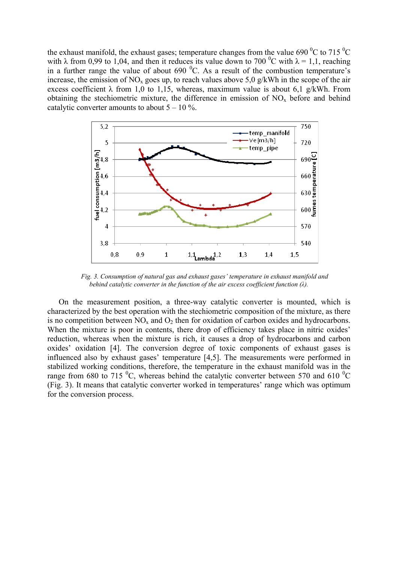the exhaust manifold, the exhaust gases; temperature changes from the value 690  $\rm{^{0}C}$  to 715  $\rm{^{0}C}$ with  $\lambda$  from 0,99 to 1,04, and then it reduces its value down to 700 °C with  $\lambda = 1,1$ , reaching in a further range the value of about  $690<sup>0</sup>C$ . As a result of the combustion temperature's increase, the emission of NO<sub>x</sub> goes up, to reach values above 5,0 g/kWh in the scope of the air excess coefficient  $\lambda$  from 1,0 to 1,15, whereas, maximum value is about 6,1 g/kWh. From obtaining the stechiometric mixture, the difference in emission of  $NO<sub>x</sub>$  before and behind catalytic converter amounts to about  $5 - 10\%$ .



*Fig. 3. Consumption of natural gas and exhaust gases' temperature in exhaust manifold and behind catalytic converter in the function of the air excess coefficient function (λ).* 

On the measurement position, a three-way catalytic converter is mounted, which is characterized by the best operation with the stechiometric composition of the mixture, as there is no competition between  $NO<sub>x</sub>$  and  $O<sub>2</sub>$  then for oxidation of carbon oxides and hydrocarbons. When the mixture is poor in contents, there drop of efficiency takes place in nitric oxides' reduction, whereas when the mixture is rich, it causes a drop of hydrocarbons and carbon oxides' oxidation [4]. The conversion degree of toxic components of exhaust gases is influenced also by exhaust gases' temperature [4,5]. The measurements were performed in stabilized working conditions, therefore, the temperature in the exhaust manifold was in the range from 680 to 715  $\rm{^0C}$ , whereas behind the catalytic converter between 570 and 610  $\rm{^0C}$ (Fig. 3). It means that catalytic converter worked in temperatures' range which was optimum for the conversion process.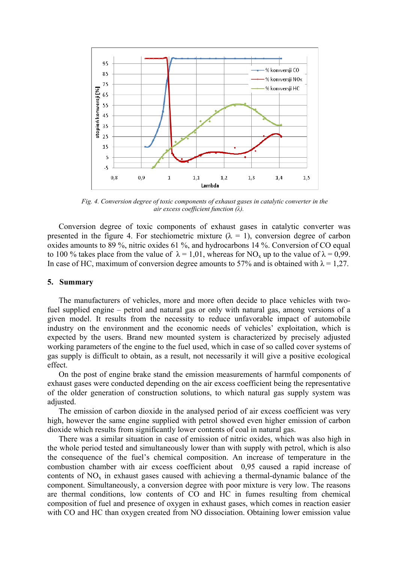

*Fig. 4. Conversion degree of toxic components of exhaust gases in catalytic converter in the air excess coefficient function (λ).* 

Conversion degree of toxic components of exhaust gases in catalytic converter was presented in the figure 4. For stechiometric mixture  $(\lambda = 1)$ , conversion degree of carbon oxides amounts to 89 %, nitric oxides 61 %, and hydrocarbons 14 %. Conversion of CO equal to 100 % takes place from the value of  $\lambda = 1.01$ , whereas for NO<sub>x</sub> up to the value of  $\lambda = 0.99$ . In case of HC, maximum of conversion degree amounts to 57% and is obtained with  $\lambda = 1.27$ .

## **5. Summary**

The manufacturers of vehicles, more and more often decide to place vehicles with twofuel supplied engine – petrol and natural gas or only with natural gas, among versions of a given model. It results from the necessity to reduce unfavorable impact of automobile industry on the environment and the economic needs of vehicles' exploitation, which is expected by the users. Brand new mounted system is characterized by precisely adjusted working parameters of the engine to the fuel used, which in case of so called cover systems of gas supply is difficult to obtain, as a result, not necessarily it will give a positive ecological effect.

On the post of engine brake stand the emission measurements of harmful components of exhaust gases were conducted depending on the air excess coefficient being the representative of the older generation of construction solutions, to which natural gas supply system was adjusted.

The emission of carbon dioxide in the analysed period of air excess coefficient was very high, however the same engine supplied with petrol showed even higher emission of carbon dioxide which results from significantly lower contents of coal in natural gas.

There was a similar situation in case of emission of nitric oxides, which was also high in the whole period tested and simultaneously lower than with supply with petrol, which is also the consequence of the fuel's chemical composition. An increase of temperature in the combustion chamber with air excess coefficient about 0,95 caused a rapid increase of contents of  $NO<sub>x</sub>$  in exhaust gases caused with achieving a thermal-dynamic balance of the component. Simultaneously, a conversion degree with poor mixture is very low. The reasons are thermal conditions, low contents of CO and HC in fumes resulting from chemical composition of fuel and presence of oxygen in exhaust gases, which comes in reaction easier with CO and HC than oxygen created from NO dissociation. Obtaining lower emission value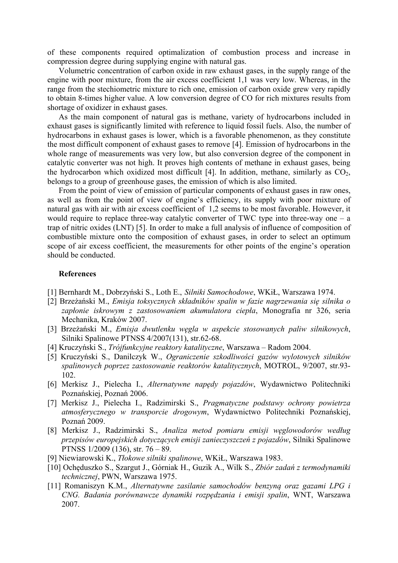of these components required optimalization of combustion process and increase in compression degree during supplying engine with natural gas.

Volumetric concentration of carbon oxide in raw exhaust gases, in the supply range of the engine with poor mixture, from the air excess coefficient 1,1 was very low. Whereas, in the range from the stechiometric mixture to rich one, emission of carbon oxide grew very rapidly to obtain 8-times higher value. A low conversion degree of CO for rich mixtures results from shortage of oxidizer in exhaust gases.

As the main component of natural gas is methane, variety of hydrocarbons included in exhaust gases is significantly limited with reference to liquid fossil fuels. Also, the number of hydrocarbons in exhaust gases is lower, which is a favorable phenomenon, as they constitute the most difficult component of exhaust gases to remove [4]. Emission of hydrocarbons in the whole range of measurements was very low, but also conversion degree of the component in catalytic converter was not high. It proves high contents of methane in exhaust gases, being the hydrocarbon which oxidized most difficult [4]. In addition, methane, similarly as  $CO<sub>2</sub>$ , belongs to a group of greenhouse gases, the emission of which is also limited.

From the point of view of emission of particular components of exhaust gases in raw ones, as well as from the point of view of engine's efficiency, its supply with poor mixture of natural gas with air with air excess coefficient of 1,2 seems to be most favorable. However, it would require to replace three-way catalytic converter of TWC type into three-way one  $- a$ trap of nitric oxides (LNT) [5]. In order to make a full analysis of influence of composition of combustible mixture onto the composition of exhaust gases, in order to select an optimum scope of air excess coefficient, the measurements for other points of the engine's operation should be conducted.

## **References**

- [1] Bernhardt M., Dobrzyński S., Loth E., *Silniki Samochodowe*, WKiŁ, Warszawa 1974.
- [2] Brzeżański M., *Emisja toksycznych składników spalin w fazie nagrzewania się silnika o zapłonie iskrowym z zastosowaniem akumulatora ciepła*, Monografia nr 326, seria Mechanika, Kraków 2007.
- [3] Brzeżański M., *Emisja dwutlenku węgla w aspekcie stosowanych paliw silnikowych*, Silniki Spalinowe PTNSS 4/2007(131), str.62-68.
- [4] Kruczyński S., *Trójfunkcyjne reaktory katalityczne*, Warszawa Radom 2004.
- [5] Kruczyński S., Danilczyk W., *Ograniczenie szkodliwości gazów wylotowych silników spalinowych poprzez zastosowanie reaktorów katalitycznych*, MOTROL, 9/2007, str.93- 102.
- [6] Merkisz J., Pielecha I., *Alternatywne napędy pojazdów*, Wydawnictwo Politechniki Poznańskiej, Poznań 2006.
- [7] Merkisz J., Pielecha I., Radzimirski S., *Pragmatyczne podstawy ochrony powietrza atmosferycznego w transporcie drogowym*, Wydawnictwo Politechniki Poznańskiej, Poznań 2009.
- [8] Merkisz J., Radzimirski S., *Analiza metod pomiaru emisji węglowodorów według przepisów europejskich dotyczących emisji zanieczyszczeń z pojazdów*, Silniki Spalinowe PTNSS 1/2009 (136), str. 76 – 89.
- [9] Niewiarowski K., *Tłokowe silniki spalinowe*, WKiŁ, Warszawa 1983.
- [10] Ochęduszko S., Szargut J., Górniak H., Guzik A., Wilk S., *Zbiór zadań z termodynamiki technicznej*, PWN, Warszawa 1975.
- [11] Romaniszyn K.M., *Alternatywne zasilanie samochodów benzyną oraz gazami LPG i CNG. Badania porównawcze dynamiki rozpędzania i emisji spalin*, WNT, Warszawa 2007.